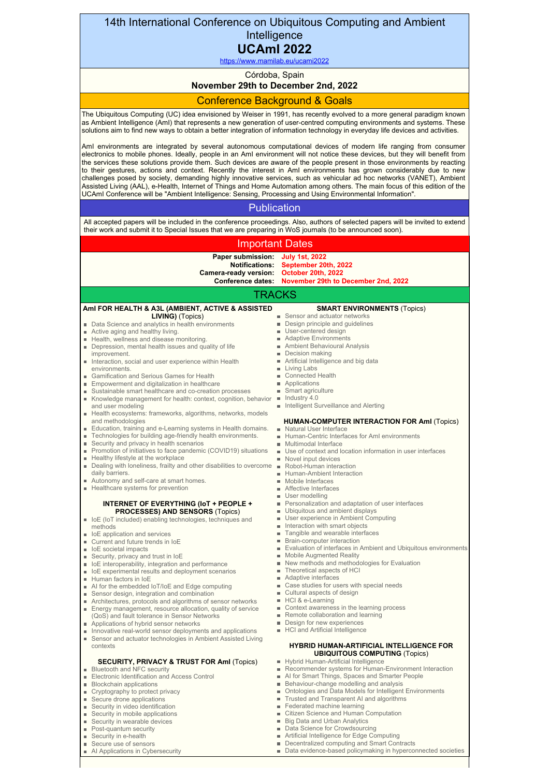# 14th International Conference on Ubiquitous Computing and Ambient **Intelligence**

#### **UCAmI 2022** <https://www.mamilab.eu/ucami2022>

Córdoba, Spain

# **November 29th to December 2nd, 2022**

# Conference Background & Goals

The Ubiquitous Computing (UC) idea envisioned by Weiser in 1991, has recently evolved to a more general paradigm known as Ambient Intelligence (AmI) that represents a new generation of user-centred computing environments and systems. These solutions aim to find new ways to obtain a better integration of information technology in everyday life devices and activities.

AmI environments are integrated by several autonomous computational devices of modern life ranging from consumer electronics to mobile phones. Ideally, people in an AmI environment will not notice these devices, but they will benefit from the services these solutions provide them. Such devices are aware of the people present in those environments by reacting to their gestures, actions and context. Recently the interest in AmI environments has grown considerably due to new challenges posed by society, demanding highly innovative services, such as vehicular ad hoc networks (VANET), Ambient Assisted Living (AAL), e-Health, Internet of Things and Home Automation among others. The main focus of this edition of the UCAmI Conference will be "Ambient Intelligence: Sensing, Processing and Using Environmental Information".

### **Publication**

All accepted papers will be included in the conference proceedings. Also, authors of selected papers will be invited to extend their work and submit it to Special Issues that we are preparing in WoS journals (to be announced soon).

## Important Dates

**Paper submission: July 1st, 2022 Notifications: Camera-ready version: Conference dates: November 29th to December 2nd, 2022 September 20th, 2022 October 20th, 2022**

### TRACKS

| Ami FOR HEALTH & A3L (AMBIENT, ACTIVE & ASSISTED                    | <b>SMART ENVIRONMENTS (Topics)</b>                              |
|---------------------------------------------------------------------|-----------------------------------------------------------------|
| <b>LIVING)</b> (Topics)                                             | ■ Sensor and actuator networks                                  |
| ■ Data Science and analytics in health environments                 | Design principle and guidelines                                 |
| Active aging and healthy living.                                    | <b>User-centered design</b>                                     |
| Health, wellness and disease monitoring.                            | Adaptive Environments                                           |
| Depression, mental health issues and quality of life                | Ambient Behavioural Analysis                                    |
| improvement.                                                        | Decision making<br>ш                                            |
| Interaction, social and user experience within Health               | Artificial Intelligence and big data                            |
| environments.                                                       | Living Labs<br>ш                                                |
| Gamification and Serious Games for Health                           | ■ Connected Health                                              |
| ■ Empowerment and digitalization in healthcare                      | Applications<br>m.                                              |
| Sustainable smart healthcare and co-creation processes              | ■ Smart agriculture                                             |
| Knowledge management for health: context, cognition, behavior       | Industry 4.0<br>$\blacksquare$                                  |
| and user modeling                                                   | Intelligent Surveillance and Alerting                           |
| Health ecosystems: frameworks, algorithms, networks, models         |                                                                 |
| and methodologies                                                   | <b>HUMAN-COMPUTER INTERACTION FOR AmI (Topics)</b>              |
| Education, training and e-Learning systems in Health domains.       | Natural User Interface                                          |
| Technologies for building age-friendly health environments.         | ■ Human-Centric Interfaces for AmI environments                 |
| Security and privacy in health scenarios                            | ■ Multimodal Interface                                          |
| Promotion of initiatives to face pandemic (COVID19) situations      | Use of context and location information in user interfaces      |
| <b>Healthy lifestyle at the workplace</b>                           | Novel input devices                                             |
| Dealing with loneliness, frailty and other disabilities to overcome | Robot-Human interaction                                         |
| daily barriers.                                                     | ■ Human-Ambient Interaction                                     |
| Autonomy and self-care at smart homes.                              | ■ Mobile Interfaces                                             |
| Healthcare systems for prevention                                   | Affective Interfaces                                            |
|                                                                     | <b>User modelling</b>                                           |
|                                                                     |                                                                 |
| INTERNET OF EVERYTHING (IoT + PEOPLE +                              | Personalization and adaptation of user interfaces               |
| <b>PROCESSES) AND SENSORS (Topics)</b>                              | Ubiquitous and ambient displays<br>m.                           |
| • IoE (IoT included) enabling technologies, techniques and          | <b>User experience in Ambient Computing</b>                     |
| methods                                                             | Interaction with smart objects<br>m.                            |
| loE application and services                                        | Tangible and wearable interfaces                                |
| Current and future trends in IoE                                    | <b>Brain-computer interaction</b>                               |
| loE societal impacts                                                | Evaluation of interfaces in Ambient and Ubiquitous environments |
| Security, privacy and trust in IoE                                  | <b>Mobile Augmented Reality</b>                                 |
| • IoE interoperability, integration and performance                 | New methods and methodologies for Evaluation                    |
| • IoE experimental results and deployment scenarios                 | ■ Theoretical aspects of HCI                                    |
| Human factors in IoE                                                | Adaptive interfaces                                             |
| Al for the embedded loT/loE and Edge computing                      | ■ Case studies for users with special needs                     |
| Sensor design, integration and combination                          | Cultural aspects of design                                      |
| Architectures, protocols and algorithms of sensor networks          | ■ HCI & e-Learning                                              |
| Energy management, resource allocation, quality of service          | ■ Context awareness in the learning process                     |
| (QoS) and fault tolerance in Sensor Networks                        | Remote collaboration and learning                               |
| Applications of hybrid sensor networks                              | <b>Design for new experiences</b>                               |
| Innovative real-world sensor deployments and applications           | HCI and Artificial Intelligence                                 |
| Sensor and actuator technologies in Ambient Assisted Living         |                                                                 |
| contexts                                                            | <b>HYBRID HUMAN-ARTIFICIAL INTELLIGENCE FOR</b>                 |
|                                                                     | <b>UBIQUITOUS COMPUTING (Topics)</b>                            |
|                                                                     |                                                                 |

#### **SECURITY, PRIVACY & TRUST FOR AmI** (Topics) Bluetooth and NFC security

- Electronic Identification and Access Control
- **Blockchain applications**
- **Cryptography to protect privacy**
- Secure drone applications
- Security in video identification
- Security in mobile applications
- Security in wearable devices
- $\blacksquare$ Post-quantum security
- ٠ Security in e-health
- Secure use of sensors ×.
- AI Applications in Cybersecurity

- Hybrid Human-Artificial Intelligence
- Recommender systems for Human-Environment Interaction
- AI for Smart Things, Spaces and Smarter People  $\mathbf{u}$
- Behaviour-change modelling and analysis
- Ontologies and Data Models for Intelligent Environments
- Trusted and Transparent AI and algorithms  $\alpha$  $\alpha$ Federated machine learning
- m. Citizen Science and Human Computation
- Big Data and Urban Analytics  $\blacksquare$
- Data Science for Crowdsourcing  $\mathbf{u}$
- Artificial Intelligence for Edge Computing  $\mathbf{m}$
- Decentralized computing and Smart Contracts
- j. Data evidence-based policymaking in hyperconnected societies